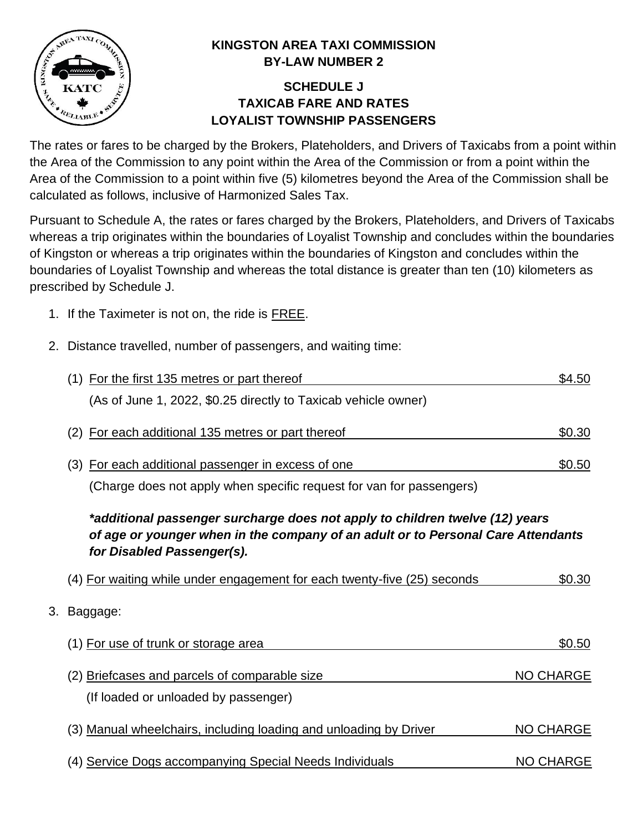

## **KINGSTON AREA TAXI COMMISSION BY-LAW NUMBER 2**

## **SCHEDULE J TAXICAB FARE AND RATES LOYALIST TOWNSHIP PASSENGERS**

The rates or fares to be charged by the Brokers, Plateholders, and Drivers of Taxicabs from a point within the Area of the Commission to any point within the Area of the Commission or from a point within the Area of the Commission to a point within five (5) kilometres beyond the Area of the Commission shall be calculated as follows, inclusive of Harmonized Sales Tax.

Pursuant to Schedule A, the rates or fares charged by the Brokers, Plateholders, and Drivers of Taxicabs whereas a trip originates within the boundaries of Loyalist Township and concludes within the boundaries of Kingston or whereas a trip originates within the boundaries of Kingston and concludes within the boundaries of Loyalist Township and whereas the total distance is greater than ten (10) kilometers as prescribed by Schedule J.

- 1. If the Taximeter is not on, the ride is FREE.
- 2. Distance travelled, number of passengers, and waiting time:

|    | (1) For the first 135 metres or part thereof                                                                                                                                                   | \$4.50           |
|----|------------------------------------------------------------------------------------------------------------------------------------------------------------------------------------------------|------------------|
|    | (As of June 1, 2022, \$0.25 directly to Taxicab vehicle owner)                                                                                                                                 |                  |
|    | For each additional 135 metres or part thereof<br>(2)                                                                                                                                          | \$0.30           |
|    | For each additional passenger in excess of one<br>(3)                                                                                                                                          | \$0.50           |
|    | (Charge does not apply when specific request for van for passengers)                                                                                                                           |                  |
|    | *additional passenger surcharge does not apply to children twelve (12) years<br>of age or younger when in the company of an adult or to Personal Care Attendants<br>for Disabled Passenger(s). |                  |
|    | (4) For waiting while under engagement for each twenty-five (25) seconds                                                                                                                       | \$0.30           |
| 3. | Baggage:                                                                                                                                                                                       |                  |
|    | (1) For use of trunk or storage area                                                                                                                                                           | \$0.50           |
|    | (2) Briefcases and parcels of comparable size<br>(If loaded or unloaded by passenger)                                                                                                          | <b>NO CHARGE</b> |
|    | (3) Manual wheelchairs, including loading and unloading by Driver                                                                                                                              | <b>NO CHARGE</b> |
|    | (4) Service Dogs accompanying Special Needs Individuals                                                                                                                                        | <b>NO CHARGE</b> |